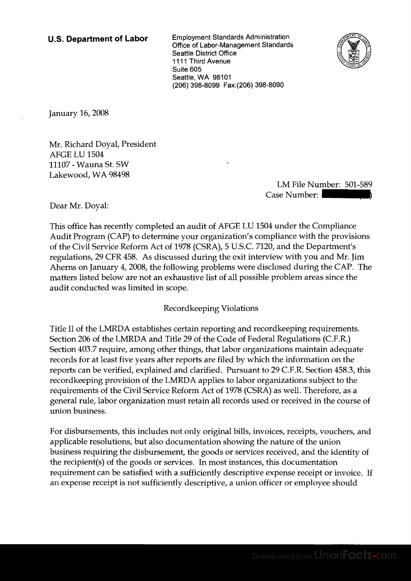**U.S. Department of Labor** Employment Standards Administration Office of Labor-Management Standards Seattle District Office 1111 Third Avenue Suite 605 Seattle, WA 98101 (206) 398-8099 Fax:(206) 398-8090



January 16,2008

Mr. Richard Doyal, President AFGE LU 1504 11107 - Wauna St. SW Lakewood, WA 98498

LM File Number: 501-589 Case Number:

Dear Mr. Doyal:

This office has recently completed an audit of AFGE LU 1504 under the Compliance Audit Program (CAP) to determine your organization's compliance with the provisions of the Civil Service Reform Act of 1978 (CSRA), 5 U.S.C. 7120, and the Department's regulations, 29 CFR 458. As discussed during the exit interview with you and Mr. Jim Aherns on January 4,2008, the following problems were disclosed during the CAP. The matters listed below are not an exhaustive list of all possible problem areas since the audit conducted was limited in scope.

## Recordkeeping Violations

Title I1 of the LMRDA establishes certain reporting and recordkeeping requirements. Section 206 of the LMRDA and Title 29 of the Code of Federal Regulations (C.F.R.) Section 403.7 require, among other things, that labor organizations maintain adequate records for at least five years after reports are filed by which the information on the reports can be verified, explained and clarified. Pursuant to 29 C.F.R. Section 458.3, this recordkeeping provision of the LMRDA applies to labor organizations subject to the requirements of the Civil Service Reform Act of 1978 (CSRA) as well. Therefore, as a general rule, labor organization must retain all records used or received in the course of union business.

For disbursements, this includes not only original bills, invoices, receipts, vouchers, and applicable resolutions, but also documentation showing the nature of the union business requiring the disbursement, the goods or services received, and the identity of the recipient(s) of the goods or services. In most instances, this documentation requirement can be satisfied with a sufficiently descriptive expense receipt or invoice. If an expense receipt is not sufficiently descriptive, a union officer or employee should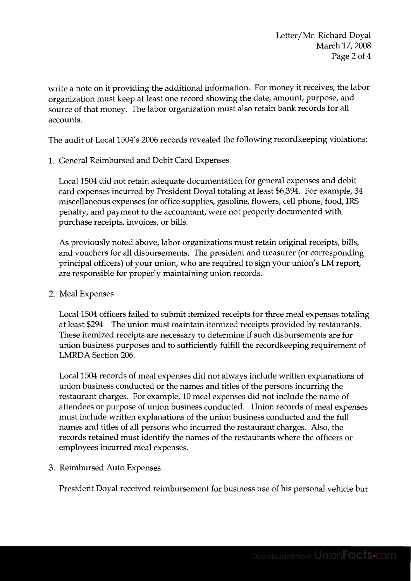write a note on it providing the additional information. For money it receives, the labor organization must keep at least one record showing the date, amount, purpose, and source of that money. The labor organization must also retain bank records for all accounts.

The audit of Local 1504's 2006 records revealed the following recordkeeping violations:

1. General Reimbursed and Debit Card Expenses

Local 1504 did not retain adequate documentation for general expenses and debit card expenses incurred by President Doyal totaling at least \$6,394. For example, 34 miscellaneous expenses for office supplies, gasoline, flowers, cell phone, food, IRS penalty, and payment to the accountant, were not properly documented with purchase receipts, invoices, or bills.

As previously noted above, labor organizations must retain original receipts, bills, and vouchers for all disbursements. The president and treasurer (or corresponding principal officers) of your union, who are required to sign your union's LM report, are responsible for properly maintaining union records.

2. Meal Expenses

Local 1504 officers failed to submit itemized receipts for three meal expenses totaling at least \$294 The union must maintain itemized receipts provided by restaurants. These itemized receipts are necessary to determine if such disbursements are for union business purposes and to sufficiently fulfill the recordkeeping requirement of LMRDA Section 206.

Local 1504 records of meal expenses did not always include written explanations of union business conducted or the names and titles of the persons incurring the restaurant charges. For example, 10 meal expenses did not include the name of attendees or purpose of union business conducted. Union records of meal expenses must include written explanations of the union business conducted and the full names and titles of all persons who incurred the restaurant charges. Also, the records retained must identify the names of the restaurants where the officers or employees incurred meal expenses.

3. Reimbursed Auto Expenses

President Doyal received reimbursement for business use of his personal vehicle but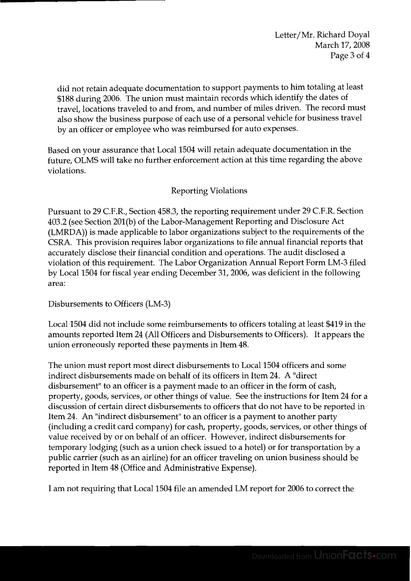Letter/Mr. Richard Doyal March 17, 2008 Page 3 of 4

did not retain adequate documentation to support payments to him totaling at least \$188 during 2006. The union must maintain records which identify the dates of travel, locations traveled to and from, and number of miles driven. The record must also show the business purpose of each use of a personal vehicle for business travel by an officer or employee who was reimbursed for auto expenses.

Based on your assurance that Local 1504 will retain adequate documentation in the future, OLMS will take no further enforcement action at this time regarding the above violations.

## Reporting Violations

Pursuant to 29 C.F.R., Section 458.3, the reporting requirement under 29 C.F.R. Section 403.2 (see Section 201(b) of the Labor-Management Reporting and Disclosure Act (LMRDA)) is made applicable to labor organizations subject to the requirements of the CSRA. This provision requires labor organizations to file annual financial reports that accurately disclose their financial condition and operations. The audit disclosed a violation of this requirement. The Labor Organization Annual Report Form LM-3 filed by Local 1504 for fiscal year ending December 31,2006, was deficient in the following area:

Disbursements to Officers (LM-3)

Local 1504 did not include some reimbursements to officers totaling at least \$419 in the amounts reported Item 24 (All Officers and Disbursements to Officers). It appears the union erroneously reported these payments in Item 48.

The union must report most direct disbursements to Local 1504 officers and some indirect disbursements made on behalf of its officers in Item 24. A "direct disbursement'' to an officer is a payment made to an officer in the form of cash, property, goods, services, or other things of value. See the instructions for Item 24 for a discussion of certain direct disbursements to officers that do not have to be reported in Item 24. An "indirect disbursement" to an officer is a payment to another party (including a credit card company) for cash, property, goods, services, or other things of value received by or on behalf of an officer. However, indirect disbursements for temporary lodging (such as a union check issued to a hotel) or for transportation by a public carrier (such as an airline) for an officer traveling on union business should be reported in ltem 48 (Office and Administrative Expense).

I am not requiring that Local 1504 file an amended LM report for 2006 to correct the